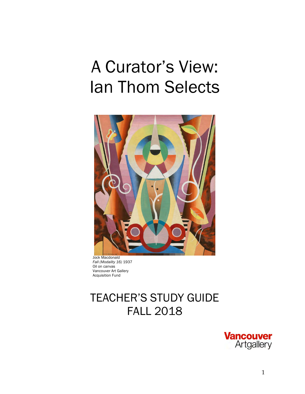# A Curator's View: Ian Thom Selects



 Jock Macdonald *Fall (Modality 16)* 1937 Oil on canvas Vancouver Art Gallery Acquisition Fund

# TEACHER'S STUDY GUIDE FALL 2018

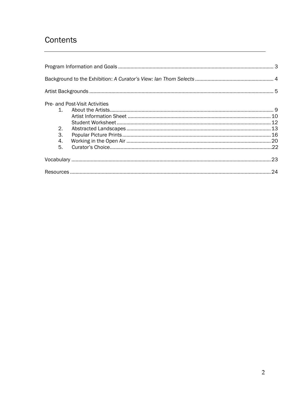### Contents

|           | Pre- and Post-Visit Activities |  |
|-----------|--------------------------------|--|
| $1 \quad$ |                                |  |
|           |                                |  |
|           |                                |  |
| 2.        |                                |  |
| З.        |                                |  |
| 4.        |                                |  |
| 5.        |                                |  |
|           |                                |  |
|           |                                |  |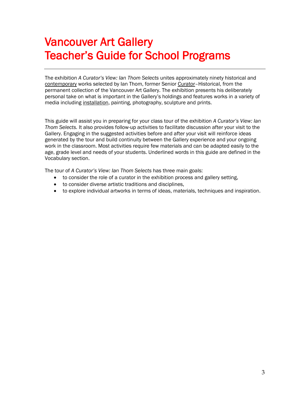# Vancouver Art Gallery Teacher's Guide for School Programs

The exhibition *A Curator's View: Ian Thom Selects* unites approximately ninety historical and contemporary works selected by Ian Thom, former Senior Curator–Historical, from the permanent collection of the Vancouver Art Gallery. The exhibition presents his deliberately personal take on what is important in the Gallery's holdings and features works in a variety of media including installation, painting, photography, sculpture and prints.

This guide will assist you in preparing for your class tour of the exhibition *A Curator's View: Ian Thom Selects.* It also provides follow-up activities to facilitate discussion after your visit to the Gallery. Engaging in the suggested activities before and after your visit will reinforce ideas generated by the tour and build continuity between the Gallery experience and your ongoing work in the classroom. Most activities require few materials and can be adapted easily to the age, grade level and needs of your students. Underlined words in this guide are defined in the Vocabulary section.

The tour of *A Curator's View: Ian Thom Selects* has three main goals:

- to consider the role of a curator in the exhibition process and gallery setting,
- to consider diverse artistic traditions and disciplines,
- to explore individual artworks in terms of ideas, materials, techniques and inspiration.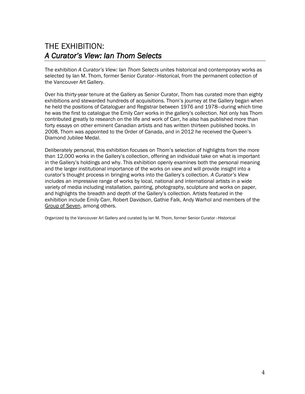### THE EXHIBITION: *A Curator's View: Ian Thom Selects*

The exhibition *A Curator's View: Ian Thom Selects* unites historical and contemporary works as selected by Ian M. Thom, former Senior Curator–Historical, from the permanent collection of the Vancouver Art Gallery.

Over his thirty-year tenure at the Gallery as Senior Curator, Thom has curated more than eighty exhibitions and stewarded hundreds of acquisitions. Thom's journey at the Gallery began when he held the positions of Cataloguer and Registrar between 1976 and 1978—during which time he was the first to catalogue the Emily Carr works in the gallery's collection. Not only has Thom contributed greatly to research on the life and work of Carr, he also has published more than forty essays on other eminent Canadian artists and has written thirteen published books. In 2008, Thom was appointed to the Order of Canada, and in 2012 he received the Queen's Diamond Jubilee Medal.

Deliberately personal, this exhibition focuses on Thom's selection of highlights from the more than 12,000 works in the Gallery's collection, offering an individual take on what is important in the Gallery's holdings and why. This exhibition openly examines both the personal meaning and the larger institutional importance of the works on view and will provide insight into a curator's thought process in bringing works into the Gallery's collection. *A Curator's View* includes an impressive range of works by local, national and international artists in a wide variety of media including installation, painting, photography, sculpture and works on paper, and highlights the breadth and depth of the Gallery's collection. Artists featured in the exhibition include Emily Carr, Robert Davidson, Gathie Falk, Andy Warhol and members of the Group of Seven, among others.

Organized by the Vancouver Art Gallery and curated by Ian M. Thom, former Senior Curator–Historical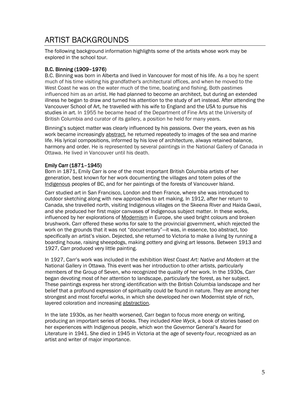### ARTIST BACKGROUNDS

The following background information highlights some of the artists whose work may be explored in the school tour.

#### B.C. Binning (1909–1976)

B.C. Binning was born in Alberta and lived in Vancouver for most of his life. As a boy he spent much of his time visiting his grandfather's architectural offices, and when he moved to the West Coast he was on the water much of the time, boating and fishing. Both pastimes influenced him as an artist. He had planned to become an architect, but during an extended illness he began to draw and turned his attention to the study of art instead. After attending the Vancouver School of Art, he travelled with his wife to England and the USA to pursue his studies in art. In 1955 he became head of the Department of Fine Arts at the University of British Columbia and curator of its gallery, a position he held for many years.

Binning's subject matter was clearly influenced by his passions. Over the years, even as his work became increasingly abstract, he returned repeatedly to images of the sea and marine life. His lyrical compositions, informed by his love of architecture, always retained balance, harmony and order. He is represented by several paintings in the National Gallery of Canada in Ottawa. He lived in Vancouver until his death.

#### Emily Carr (1871–1945)

Born in 1871, Emily Carr is one of the most important British Columbia artists of her generation, best known for her work documenting the villages and totem poles of the Indigenous peoples of BC, and for her paintings of the forests of Vancouver Island.

Carr studied art in San Francisco, London and then France, where she was introduced to outdoor sketching along with new approaches to art making. In 1912, after her return to Canada, she travelled north, visiting Indigenous villages on the Skeena River and Haida Gwaii, and she produced her first major canvases of Indigenous subject matter. In these works, influenced by her explorations of Modernism in Europe, she used bright colours and broken brushwork. Carr offered these works for sale to the provincial government, which rejected the work on the grounds that it was not "documentary"—it was, in essence, too abstract, too specifically an artist's vision. Dejected, she returned to Victoria to make a living by running a boarding house, raising sheepdogs, making pottery and giving art lessons. Between 1913 and 1927, Carr produced very little painting.

In 1927, Carr's work was included in the exhibition *West Coast Art: Native and Modern* at the National Gallery in Ottawa. This event was her introduction to other artists, particularly members of the Group of Seven, who recognized the quality of her work. In the 1930s, Carr began devoting most of her attention to landscape, particularly the forest, as her subject. These paintings express her strong identification with the British Columbia landscape and her belief that a profound expression of spirituality could be found in nature. They are among her strongest and most forceful works, in which she developed her own Modernist style of rich, layered coloration and increasing abstraction.

In the late 1930s, as her health worsened, Carr began to focus more energy on writing, producing an important series of books. They included *Klee Wyck,* a book of stories based on her experiences with Indigenous people, which won the Governor General's Award for Literature in 1941. She died in 1945 in Victoria at the age of seventy-four, recognized as an artist and writer of major importance.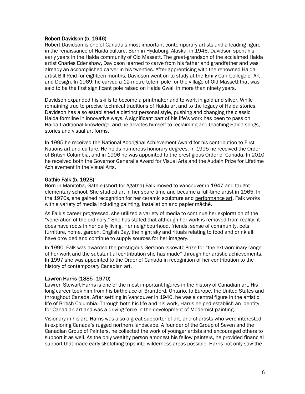#### Robert Davidson (b. 1946)

Robert Davidson is one of Canada's most important contemporary artists and a leading figure in the renaissance of Haida culture. Born in Hydaburg, Alaska, in 1946, Davidson spent his early years in the Haida community of Old Massett. The great-grandson of the acclaimed Haida artist Charles Edenshaw, Davidson learned to carve from his father and grandfather and was already an accomplished carver in his twenties. After apprenticing with the renowned Haida artist Bill Reid for eighteen months, Davidson went on to study at the Emily Carr College of Art and Design. In 1969, he carved a 12-metre totem pole for the village of Old Massett that was said to be the first significant pole raised on Haida Gwaii in more than ninety years.

Davidson expanded his skills to become a printmaker and to work in gold and silver. While remaining true to precise technical traditions of Haida art and to the legacy of Haida stories, Davidson has also established a distinct personal style, pushing and changing the classic Haida formline in innovative ways. A significant part of his life's work has been to pass on Haida traditional knowledge, and he devotes himself to reclaiming and teaching Haida songs, stories and visual art forms.

In 1995 he received the National Aboriginal Achievement Award for his contribution to First Nations art and culture. He holds numerous honorary degrees. In 1995 he received the Order of British Columbia, and in 1996 he was appointed to the prestigious Order of Canada. In 2010 he received both the Governor General's Award for Visual Arts and the Audain Prize for Lifetime Achievement in the Visual Arts.

#### Gathie Falk (b. 1928)

Born in Manitoba, Gathie (short for Agatha) Falk moved to Vancouver in 1947 and taught elementary school. She studied art in her spare time and became a full-time artist in 1965. In the 1970s, she gained recognition for her ceramic sculpture and performance art. Falk works with a variety of media including painting, installation and papier mâché.

As Falk's career progressed, she utilized a variety of media to continue her exploration of the "veneration of the ordinary." She has stated that although her work is removed from reality, it does have roots in her daily living. Her neighbourhood, friends, sense of community, pets, furniture, home, garden, English Bay, the night sky and rituals relating to food and drink all have provided and continue to supply sources for her imagery.

In 1990, Falk was awarded the prestigious Gershon Iskowitz Prize for "the extraordinary range of her work and the substantial contribution she has made" through her artistic achievements. In 1997 she was appointed to the Order of Canada in recognition of her contribution to the history of contemporary Canadian art.

#### Lawren Harris (1885–1970)

Lawren Stewart Harris is one of the most important figures in the history of Canadian art. His long career took him from his birthplace of Brantford, Ontario, to Europe, the United States and throughout Canada. After settling in Vancouver in 1940, he was a central figure in the artistic life of British Columbia. Through both his life and his work, Harris helped establish an identity for Canadian art and was a driving force in the development of Modernist painting.

Visionary in his art, Harris was also a great supporter of art, and of artists who were interested in exploring Canada's rugged northern landscape. A founder of the Group of Seven and the Canadian Group of Painters, he collected the work of younger artists and encouraged others to support it as well. As the only wealthy person amongst his fellow painters, he provided financial support that made early sketching trips into wilderness areas possible. Harris not only saw the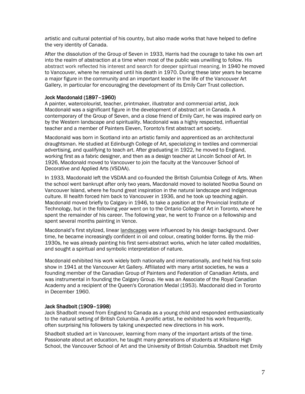artistic and cultural potential of his country, but also made works that have helped to define the very identity of Canada.

After the dissolution of the Group of Seven in 1933, Harris had the courage to take his own art into the realm of abstraction at a time when most of the public was unwilling to follow. His abstract work reflected his interest and search for deeper spiritual meaning. In 1940 he moved to Vancouver, where he remained until his death in 1970. During these later years he became a major figure in the community and an important leader in the life of the Vancouver Art Gallery, in particular for encouraging the development of its Emily Carr Trust collection.

#### Jock Macdonald (1897–1960)

A painter, watercolourist, teacher, printmaker, illustrator and commercial artist, Jock Macdonald was a significant figure in the development of abstract art in Canada. A contemporary of the Group of Seven, and a close friend of Emily Carr, he was inspired early on by the Western landscape and spirituality. Macdonald was a highly respected, influential teacher and a member of Painters Eleven, Toronto's first abstract art society.

Macdonald was born in Scotland into an artistic family and apprenticed as an architectural draughtsman. He studied at Edinburgh College of Art, specializing in textiles and commercial advertising, and qualifying to teach art. After graduating in 1922, he moved to England, working first as a fabric designer, and then as a design teacher at Lincoln School of Art. In 1926, Macdonald moved to Vancouver to join the faculty at the Vancouver School of Decorative and Applied Arts (VSDAA).

In 1933, Macdonald left the VSDAA and co-founded the British Columbia College of Arts. When the school went bankrupt after only two years, Macdonald moved to isolated Nootka Sound on Vancouver Island, where he found great inspiration in the natural landscape and Indigenous culture. Ill health forced him back to Vancouver in 1936, and he took up teaching again. Macdonald moved briefly to Calgary in 1946, to take a position at the Provincial Institute of Technology, but in the following year went on to the Ontario College of Art in Toronto, where he spent the remainder of his career. The following year, he went to France on a fellowship and spent several months painting in Vence.

Macdonald's first stylized, linear landscapes were influenced by his design background. Over time, he became increasingly confident in oil and colour, creating bolder forms. By the mid-1930s, he was already painting his first semi-abstract works, which he later called *modalities*, and sought a spiritual and symbolic interpretation of nature.

Macdonald exhibited his work widely both nationally and internationally, and held his first solo show in 1941 at the Vancouver Art Gallery. Affiliated with many artist societies, he was a founding member of the Canadian Group of Painters and Federation of Canadian Artists, and was instrumental in founding the Calgary Group. He was an Associate of the Royal Canadian Academy and a recipient of the Queen's Coronation Medal (1953). Macdonald died in Toronto in December 1960.

#### Jack Shadbolt (1909–1998)

Jack Shadbolt moved from England to Canada as a young child and responded enthusiastically to the natural setting of British Columbia. A prolific artist, he exhibited his work frequently, often surprising his followers by taking unexpected new directions in his work.

Shadbolt studied art in Vancouver, learning from many of the important artists of the time. Passionate about art education, he taught many generations of students at Kitsilano High School, the Vancouver School of Art and the University of British Columbia. Shadbolt met Emily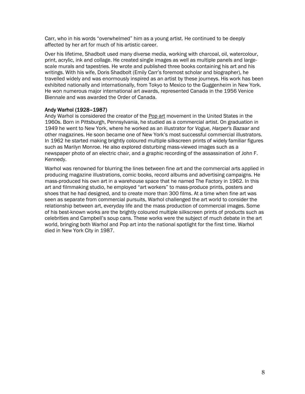Carr, who in his words "overwhelmed" him as a young artist. He continued to be deeply affected by her art for much of his artistic career.

Over his lifetime, Shadbolt used many diverse media, working with charcoal, oil, watercolour, print, acrylic, ink and collage. He created single images as well as multiple panels and largescale murals and tapestries. He wrote and published three books containing his art and his writings. With his wife, Doris Shadbolt (Emily Carr's foremost scholar and biographer), he travelled widely and was enormously inspired as an artist by these journeys. His work has been exhibited nationally and internationally, from Tokyo to Mexico to the Guggenheim in New York. He won numerous major international art awards, represented Canada in the 1956 Venice Biennale and was awarded the Order of Canada.

#### Andy Warhol (1928–1987)

Andy Warhol is considered the creator of the Pop art movement in the United States in the 1960s. Born in Pittsburgh, Pennsylvania, he studied as a commercial artist. On graduation in 1949 he went to New York, where he worked as an illustrator for *Vogue*, *Harper's Bazaar* and other magazines. He soon became one of New York's most successful commercial illustrators. In 1962 he started making brightly coloured multiple silkscreen prints of widely familiar figures such as Marilyn Monroe. He also explored disturbing mass-viewed images such as a newspaper photo of an electric chair, and a graphic recording of the assassination of John F. Kennedy.

Warhol was renowned for blurring the lines between fine art and the commercial arts applied in producing magazine illustrations, comic books, record albums and advertising campaigns. He mass-produced his own art in a warehouse space that he named The Factory in 1962. In this art and filmmaking studio, he employed "art workers" to mass-produce prints, posters and shoes that he had designed, and to create more than 300 films. At a time when fine art was seen as separate from commercial pursuits, Warhol challenged the art world to consider the relationship between art, everyday life and the mass production of commercial images. Some of his best-known works are the brightly coloured multiple silkscreen prints of products such as celebrities and Campbell's soup cans. These works were the subject of much debate in the art world, bringing both Warhol and Pop art into the national spotlight for the first time. Warhol died in New York City in 1987.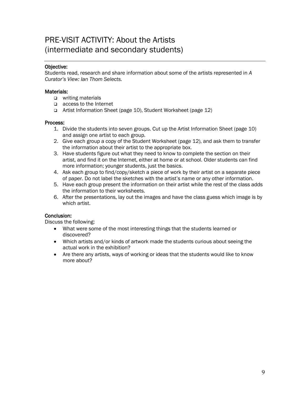### PRE-VISIT ACTIVITY: About the Artists (intermediate and secondary students)

#### Objective:

Students read, research and share information about some of the artists represented in *A Curator's View: Ian Thom Selects.*

#### Materials:

- writing materials
- access to the Internet
- Artist Information Sheet (page 10), Student Worksheet (page 12)

#### Process:

- 1. Divide the students into seven groups. Cut up the Artist Information Sheet (page 10) and assign one artist to each group.
- 2. Give each group a copy of the Student Worksheet (page 12), and ask them to transfer the information about their artist to the appropriate box.
- 3. Have students figure out what they need to know to complete the section on their artist, and find it on the Internet, either at home or at school. Older students can find more information; younger students, just the basics.
- 4. Ask each group to find/copy/sketch a piece of work by their artist on a separate piece of paper. Do not label the sketches with the artist's name or any other information.
- 5. Have each group present the information on their artist while the rest of the class adds the information to their worksheets.
- 6. After the presentations, lay out the images and have the class guess which image is by which artist.

#### Conclusion:

Discuss the following:

- What were some of the most interesting things that the students learned or discovered?
- Which artists and/or kinds of artwork made the students curious about seeing the actual work in the exhibition?
- Are there any artists, ways of working or ideas that the students would like to know more about?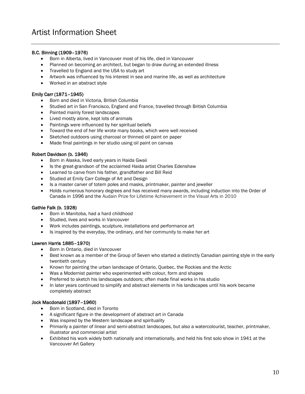#### B.C. Binning (1909–1976)

I

- Born in Alberta, lived in Vancouver most of his life, died in Vancouver
- Planned on becoming an architect, but began to draw during an extended illness
- Travelled to England and the USA to study art
- Artwork was influenced by his interest in sea and marine life, as well as architecture
- Worked in an abstract style

#### Emily Carr (1871–1945)

- Born and died in Victoria, British Columbia
- Studied art in San Francisco, England and France, travelled through British Columbia
- Painted mainly forest landscapes
- Lived mostly alone, kept lots of animals
- Paintings were influenced by her spiritual beliefs
- Toward the end of her life wrote many books, which were well received
- Sketched outdoors using charcoal or thinned oil paint on paper
- Made final paintings in her studio using oil paint on canvas

#### Robert Davidson (b. 1946)

- Born in Alaska, lived early years in Haida Gwaii
- Is the great-grandson of the acclaimed Haida artist Charles Edenshaw
- Learned to carve from his father, grandfather and Bill Reid
- Studied at Emily Carr College of Art and Design
- Is a master carver of totem poles and masks, printmaker, painter and jeweller
- Holds numerous honorary degrees and has received many awards, including induction into the Order of Canada in 1996 and the Audain Prize for Lifetime Achievement in the Visual Arts in 2010

#### Gathie Falk (b. 1928)

- Born in Manitoba, had a hard childhood
- Studied, lives and works in Vancouver
- Work includes paintings, sculpture, installations and performance art
- Is inspired by the everyday, the ordinary, and her community to make her art

#### Lawren Harris 1885–1970)

- Born in Ontario, died in Vancouver
- Best known as a member of the Group of Seven who started a distinctly Canadian painting style in the early twentieth century
- Known for painting the urban landscape of Ontario, Quebec, the Rockies and the Arctic
- Was a Modernist painter who experimented with colour, form and shapes
- Preferred to sketch his landscapes outdoors; often made final works in his studio
- In later years continued to simplify and abstract elements in his landscapes until his work became completely abstract

#### Jock Macdonald (1897–1960)

- Born in Scotland, died in Toronto
- A significant figure in the development of abstract art in Canada
- Was inspired by the Western landscape and spirituality
- Primarily a painter of linear and semi-abstract landscapes, but also a watercolourist, teacher, printmaker, illustrator and commercial artist
- Exhibited his work widely both nationally and internationally, and held his first solo show in 1941 at the Vancouver Art Gallery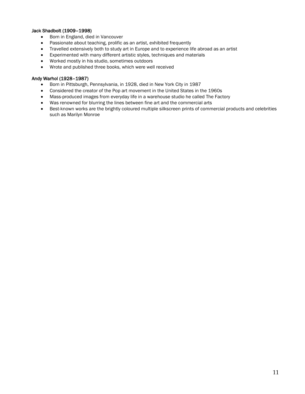#### Jack Shadbolt (1909–1998)

- Born in England, died in Vancouver
- Passionate about teaching, prolific as an artist, exhibited frequently
- Travelled extensively both to study art in Europe and to experience life abroad as an artist
- Experimented with many different artistic styles, techniques and materials
- Worked mostly in his studio, sometimes outdoors
- Wrote and published three books, which were well received

#### Andy Warhol (1928–1987)

- Born in Pittsburgh, Pennsylvania, in 1928, died in New York City in 1987
- Considered the creator of the Pop art movement in the United States in the 1960s
- Mass-produced images from everyday life in a warehouse studio he called The Factory
- Was renowned for blurring the lines between fine art and the commercial arts
- Best-known works are the brightly coloured multiple silkscreen prints of commercial products and celebrities such as Marilyn Monroe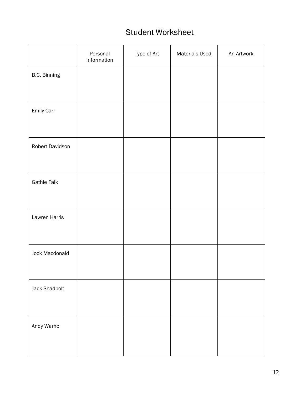### Student Worksheet

|                    | Personal<br>Information | Type of Art | <b>Materials Used</b> | An Artwork |
|--------------------|-------------------------|-------------|-----------------------|------------|
| B.C. Binning       |                         |             |                       |            |
|                    |                         |             |                       |            |
| Emily Carr         |                         |             |                       |            |
| Robert Davidson    |                         |             |                       |            |
| <b>Gathie Falk</b> |                         |             |                       |            |
| Lawren Harris      |                         |             |                       |            |
| Jock Macdonald     |                         |             |                       |            |
| Jack Shadbolt      |                         |             |                       |            |
| Andy Warhol        |                         |             |                       |            |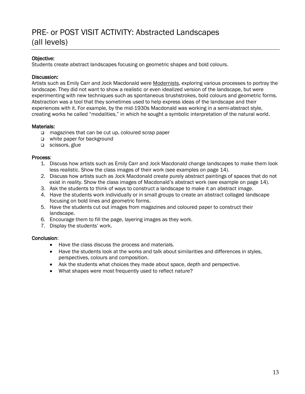### PRE- or POST VISIT ACTIVITY: Abstracted Landscapes (all levels)

#### Objective:

Students create abstract landscapes focusing on geometric shapes and bold colours.

#### Discussion:

Artists such as Emily Carr and Jock Macdonald were Modernists, exploring various processes to portray the landscape. They did not want to show a realistic or even idealized version of the landscape, but were experimenting with new techniques such as spontaneous brushstrokes, bold colours and geometric forms. Abstraction was a tool that they sometimes used to help express ideas of the landscape and their experiences with it. For example, by the mid-1930s Macdonald was working in a semi-abstract style, creating works he called "modalities," in which he sought a symbolic interpretation of the natural world.

#### Materials:

- $\Box$  magazines that can be cut up, coloured scrap paper
- white paper for background
- scissors, glue

#### Process:

- 1. Discuss how artists such as Emily Carr and Jock Macdonald change landscapes to make them look less realistic. Show the class images of their work (see examples on page 14).
- 2. Discuss how artists such as Jock Macdonald create purely abstract paintings of spaces that do not exist in reality. Show the class images of Macdonald's abstract work (see example on page 14).
- 3. Ask the students to think of ways to construct a landscape to make it an abstract image.
- 4. Have the students work individually or in small groups to create an abstract collaged landscape focusing on bold lines and geometric forms.
- 5. Have the students cut out images from magazines and coloured paper to construct their landscape.
- 6. Encourage them to fill the page, layering images as they work.
- 7. Display the students' work.

#### Conclusion:

- Have the class discuss the process and materials.
- Have the students look at the works and talk about similarities and differences in styles, perspectives, colours and composition.
- Ask the students what choices they made about space, depth and perspective.
- What shapes were most frequently used to reflect nature?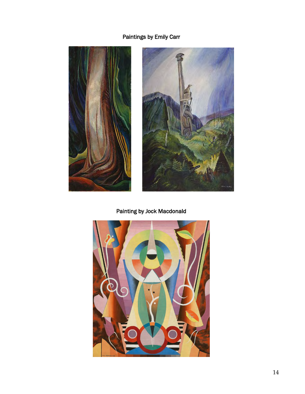#### Paintings by Emily Carr





### Painting by Jock Macdonald

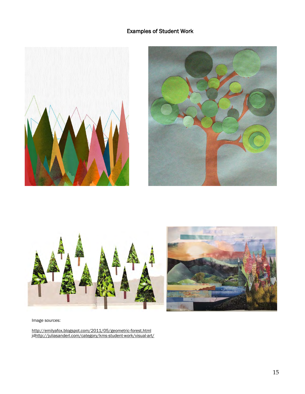#### Examples of Student Work









Image sources:

<http://emilyafox.blogspot.com/2011/05/geometric-forest.html> j[dhttp://juliasanderl.com/category/kms-student-work/visual-art/](http://juliasanderl.com/category/kms-student-work/visual-art/)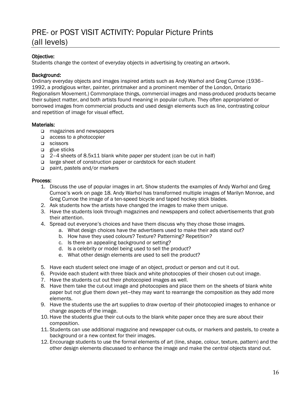### PRE- or POST VISIT ACTIVITY: Popular Picture Prints (all levels)

#### Objective:

I

Students change the context of everyday objects in advertising by creating an artwork.

#### Background:

Ordinary everyday objects and images inspired artists such as Andy Warhol and Greg Curnoe (1936– 1992, a prodigious writer, painter, printmaker and a prominent member of the London, Ontario Regionalism Movement.) Commonplace things, commercial images and mass-produced products became their subject matter, and both artists found meaning in popular culture. They often appropriated or borrowed images from commercial products and used design elements such as line, contrasting colour and repetition of image for visual effect.

#### Materials:

- □ magazines and newspapers
- □ access to a photocopier
- **D** scissors
- $\Box$  glue sticks
- 2–4 sheets of 8.5x11 blank white paper per student (can be cut in half)
- □ large sheet of construction paper or cardstock for each student
- □ paint, pastels and/or markers

#### Process:

- 1. Discuss the use of popular images in art. Show students the examples of Andy Warhol and Greg Curnoe's work on page 18. Andy Warhol has transformed multiple images of Marilyn Monroe, and Greg Curnoe the image of a ten-speed bicycle and taped hockey stick blades.
- 2. Ask students how the artists have changed the images to make them unique.
- 3. Have the students look through magazines and newspapers and collect advertisements that grab their attention.
- 4. Spread out everyone's choices and have them discuss why they chose those images.
	- a. What design choices have the advertisers used to make their ads stand out?
	- b. How have they used colours? Texture? Patterning? Repetition?
	- c. Is there an appealing background or setting?
	- d. Is a celebrity or model being used to sell the product?
	- e. What other design elements are used to sell the product?
- 5. Have each student select one image of an object, product or person and cut it out.
- 6. Provide each student with three black and white photocopies of their chosen cut-out image.
- 7. Have the students cut out their photocopied images as well.
- 8. Have them take the cut-out image and photocopies and place them on the sheets of blank white paper but not glue them down yet—they may want to rearrange the composition as they add more elements.
- 9. Have the students use the art supplies to draw overtop of their photocopied images to enhance or change aspects of the image.
- 10. Have the students glue their cut-outs to the blank white paper once they are sure about their composition.
- 11. Students can use additional magazine and newspaper cut-outs, or markers and pastels, to create a background or a new context for their images.
- 12. Encourage students to use the formal elements of art (line, shape, colour, texture, pattern) and the other design elements discussed to enhance the image and make the central objects stand out.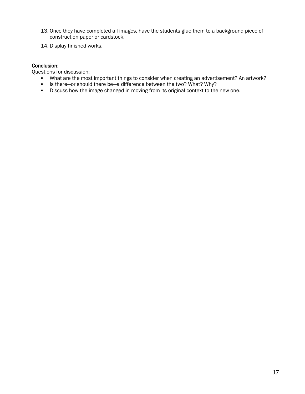- 13. Once they have completed all images, have the students glue them to a background piece of construction paper or cardstock.
- 14. Display finished works.

#### Conclusion:

Questions for discussion:

- What are the most important things to consider when creating an advertisement? An artwork?
- Is there—or should there be—a difference between the two? What? Why?
- Discuss how the image changed in moving from its original context to the new one.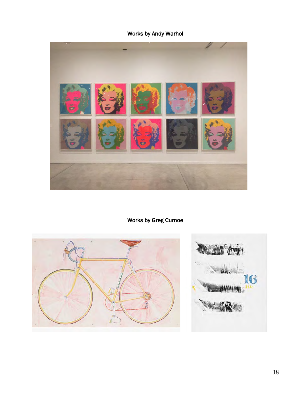### Works by Andy Warhol



### Works by Greg Curnoe



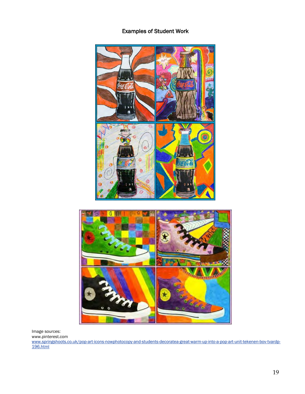#### Examples of Student Work



Image sources: www.pinterest.com [www.springshoots.co.uk/pop-art-icons-nowphotocopy-and-students-decoratea-great-warm-up-into-a-pop-art-unit-tekenen-bov-tvardp-](http://www.springshoots.co.uk/pop-art-icons-nowphotocopy-and-students-decoratea-great-warm-up-into-a-pop-art-unit-tekenen-bov-tvardp-196.html)[196.html](http://www.springshoots.co.uk/pop-art-icons-nowphotocopy-and-students-decoratea-great-warm-up-into-a-pop-art-unit-tekenen-bov-tvardp-196.html)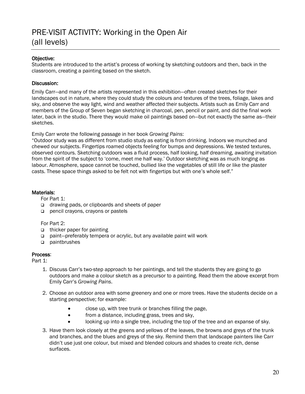### PRE-VISIT ACTIVITY: Working in the Open Air (all levels)

#### Objective:

Students are introduced to the artist's process of working by sketching outdoors and then, back in the classroom, creating a painting based on the sketch.

#### Discussion:

Emily Carr—and many of the artists represented in this exhibition—often created sketches for their landscapes out in nature, where they could study the colours and textures of the trees, foliage, lakes and sky, and observe the way light, wind and weather affected their subjects. Artists such as Emily Carr and members of the Group of Seven began sketching in charcoal, pen, pencil or paint, and did the final work later, back in the studio. There they would make oil paintings based on—but not exactly the same as—their sketches.

Emily Carr wrote the following passage in her book *Growing Pains*:

"Outdoor study was as different from studio study as eating is from drinking. Indoors we munched and chewed our subjects. Fingertips roamed objects feeling for bumps and depressions. We tested textures, observed contours. Sketching outdoors was a fluid process, half looking, half dreaming, awaiting invitation from the spirit of the subject to 'come, meet me half way.' Outdoor sketching was as much longing as labour. Atmosphere, space cannot be touched, bullied like the vegetables of still life or like the plaster casts. These space things asked to be felt not with fingertips but with one's whole self."

#### Materials:

For Part 1:

- □ drawing pads, or clipboards and sheets of paper
- pencil crayons, crayons or pastels

For Part 2:

- □ thicker paper for painting
- □ paint-preferably tempera or acrylic, but any available paint will work
- paintbrushes

#### Process:

Part 1:

- 1. Discuss Carr's two-step approach to her paintings, and tell the students they are going to go outdoors and make a colour sketch as a precursor to a painting. Read them the above excerpt from Emily Carr's *Growing Pains*.
- 2. Choose an outdoor area with some greenery and one or more trees. Have the students decide on a starting perspective; for example:
	- close up, with tree trunk or branches filling the page,
	- from a distance, including grass, trees and sky,
	- looking up into a single tree, including the top of the tree and an expanse of sky.
- 3. Have them look closely at the greens and yellows of the leaves, the browns and greys of the trunk and branches, and the blues and greys of the sky. Remind them that landscape painters like Carr didn't use just one colour, but mixed and blended colours and shades to create rich, dense surfaces.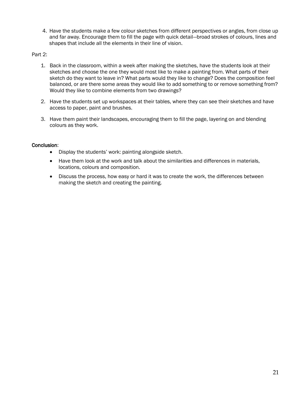4. Have the students make a few colour sketches from different perspectives or angles, from close up and far away. Encourage them to fill the page with quick detail—broad strokes of colours, lines and shapes that include all the elements in their line of vision.

#### Part 2:

- 1. Back in the classroom, within a week after making the sketches, have the students look at their sketches and choose the one they would most like to make a painting from. What parts of their sketch do they want to leave in? What parts would they like to change? Does the composition feel balanced, or are there some areas they would like to add something to or remove something from? Would they like to combine elements from two drawings?
- 2. Have the students set up workspaces at their tables, where they can see their sketches and have access to paper, paint and brushes.
- 3. Have them paint their landscapes, encouraging them to fill the page, layering on and blending colours as they work.

#### Conclusion:

- Display the students' work: painting alongside sketch.
- Have them look at the work and talk about the similarities and differences in materials, locations, colours and composition.
- Discuss the process, how easy or hard it was to create the work, the differences between making the sketch and creating the painting.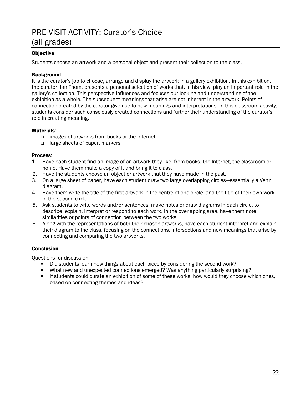### PRE-VISIT ACTIVITY: Curator's Choice (all grades)

#### Objective:

Students choose an artwork and a personal object and present their collection to the class.

#### Background:

It is the curator's job to choose, arrange and display the artwork in a gallery exhibition. In this exhibition, the curator, Ian Thom, presents a personal selection of works that, in his view, play an important role in the gallery's collection. This perspective influences and focuses our looking and understanding of the exhibition as a whole. The subsequent meanings that arise are not inherent in the artwork. Points of connection created by the curator give rise to new meanings and interpretations. In this classroom activity, students consider such consciously created connections and further their understanding of the curator's role in creating meaning.

#### Materials:

- images of artworks from books or the Internet
- □ large sheets of paper, markers

#### Process:

- 1. Have each student find an image of an artwork they like, from books, the Internet, the classroom or home. Have them make a copy of it and bring it to class.
- 2. Have the students choose an object or artwork that they have made in the past.
- 3. On a large sheet of paper, have each student draw two large overlapping circles—essentially a Venn diagram.
- 4. Have them write the title of the first artwork in the centre of one circle, and the title of their own work in the second circle.
- 5. Ask students to write words and/or sentences, make notes or draw diagrams in each circle, to describe, explain, interpret or respond to each work. In the overlapping area, have them note similarities or points of connection between the two works.
- 6. Along with the representations of both their chosen artworks, have each student interpret and explain their diagram to the class, focusing on the connections, intersections and new meanings that arise by connecting and comparing the two artworks.

#### Conclusion:

Questions for discussion:

- Did students learn new things about each piece by considering the second work?
- What new and unexpected connections emerged? Was anything particularly surprising?
- If students could curate an exhibition of some of these works, how would they choose which ones, based on connecting themes and ideas?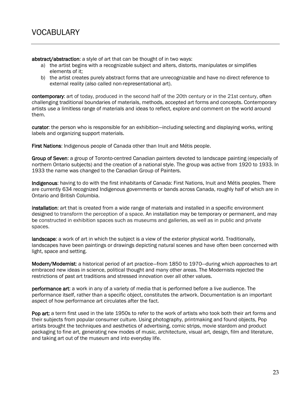abstract/abstraction: a style of art that can be thought of in two ways:

- a) the artist begins with a recognizable subject and alters, distorts, manipulates or simplifies elements of it;
- b) the artist creates purely abstract forms that are unrecognizable and have no direct reference to external reality (also called non-representational art).

contemporary: art of today, produced in the second half of the 20th century or in the 21st century, often challenging traditional boundaries of materials, methods, accepted art forms and concepts. Contemporary artists use a limitless range of materials and ideas to reflect, explore and comment on the world around them.

curator: the person who is responsible for an exhibition—including selecting and displaying works, writing labels and organizing support materials.

First Nations: Indigenous people of Canada other than Inuit and Métis people.

Group of Seven: a group of Toronto-centred Canadian painters devoted to landscape painting (especially of northern Ontario subjects) and the creation of a national style. The group was active from 1920 to 1933. In 1933 the name was changed to the Canadian Group of Painters.

Indigenous: having to do with the first inhabitants of Canada: First Nations, Inuit and Métis peoples. There are currently 634 recognized Indigenous governments or bands across Canada, roughly half of which are in Ontario and British Columbia.

installation: art that is created from a wide range of materials and installed in a specific environment designed to transform the perception of a space. An installation may be temporary or permanent, and may be constructed in exhibition spaces such as museums and galleries, as well as in public and private spaces.

landscape: a work of art in which the subject is a view of the exterior physical world. Traditionally, landscapes have been paintings or drawings depicting natural scenes and have often been concerned with light, space and setting.

Modern/Modernist: a historical period of art practice—from 1850 to 1970—during which approaches to art embraced new ideas in science, political thought and many other areas. The Modernists rejected the restrictions of past art traditions and stressed innovation over all other values.

performance art: a work in any of a variety of media that is performed before a live audience. The performance itself, rather than a specific object, constitutes the artwork. Documentation is an important aspect of how performance art circulates after the fact.

Pop art: a term first used in the late 1950s to refer to the work of artists who took both their art forms and their subjects from popular consumer culture. Using photography, printmaking and found objects, Pop artists brought the techniques and aesthetics of advertising, comic strips, movie stardom and product packaging to fine art, generating new modes of music, architecture, visual art, design, film and literature, and taking art out of the museum and into everyday life.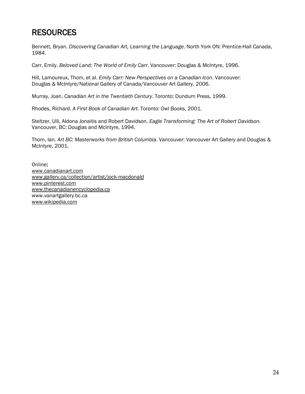### **RESOURCES**

Bennett, Bryan. *Discovering Canadian Art, Learning the Language*. North York ON: Prentice-Hall Canada, 1984.

Carr, Emily. *Beloved Land: The World of Emily Carr*. Vancouver: Douglas & McIntyre, 1996.

Hill, Lamoureux, Thom, et al. *Emily Carr: New Perspectives on a Canadian Icon*. Vancouver: Douglas & McIntyre/National Gallery of Canada/Vancouver Art Gallery, 2006.

Murray, Joan. *Canadian Art in the Twentieth Century*. Toronto: Dundurn Press, 1999.

Rhodes, Richard. *A First Book of Canadian Art.* Toronto: Owl Books, 2001.

Steltzer, Ulli, Aldona Jonaitis and Robert Davidson. *Eagle Transforming: The Art of Robert Davidson.*  Vancouver, BC: Douglas and McIntyre, 1994.

Thom, Ian. *Art BC: Masterworks from British Columbia*. Vancouver: Vancouver Art Gallery and Douglas & McIntyre, 2001.

Online: [www.canadianart.com](http://www.canadianart.com/) [www.gallery.ca/collection/artist/jock-macdonald](https://www.gallery.ca/collection/artist/jock-macdonald) [www.pinterest.com](http://www.pinterest.com/) [www.thecanadianencyclopedia.ca](http://www.thecanadianencyclopedia.ca/) www.vanartgallery.bc.ca [www.wikipedia.com](http://www.wikipedia.com/)